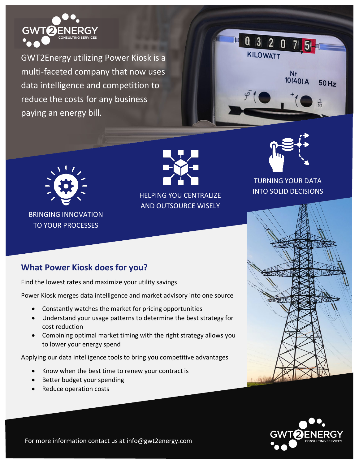

GWT2Energy utilizing Power Kiosk is a multi-faceted company that now uses data intelligence and competition to reduce the costs for any business paying an energy bill.





BRINGING INNOVATION TO YOUR PROCESSES



AND OUTSOURCE WISELY



## TURNING YOUR DATA INTO SOLID DECISIONS





## **What Power Kiosk does for you?**

Find the lowest rates and maximize your utility savings

Power Kiosk merges data intelligence and market advisory into one source

- Constantly watches the market for pricing opportunities
- Understand your usage patterns to determine the best strategy for cost reduction
- Combining optimal market timing with the right strategy allows you to lower your energy spend

Applying our data intelligence tools to bring you competitive advantages

- Know when the best time to renew your contract is
- Better budget your spending
- Reduce operation costs

For more information contact us at info@gwt2energy.com